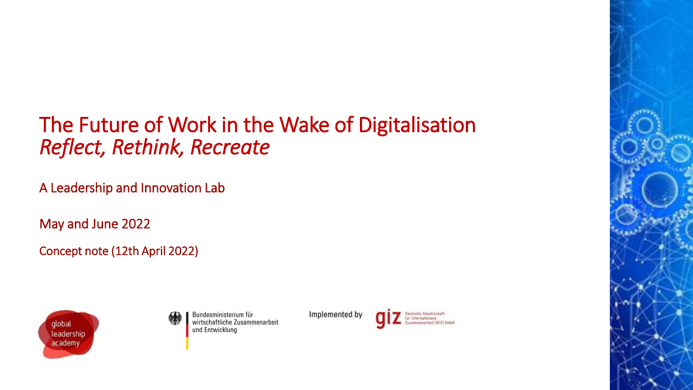# The Future of Work in the Wake of Digitalisation *Reflect, Rethink, Recreate*

A Leadership and Innovation Lab

May and June 2022

Concept note (12th April 2022)





Implemented by



Internationale

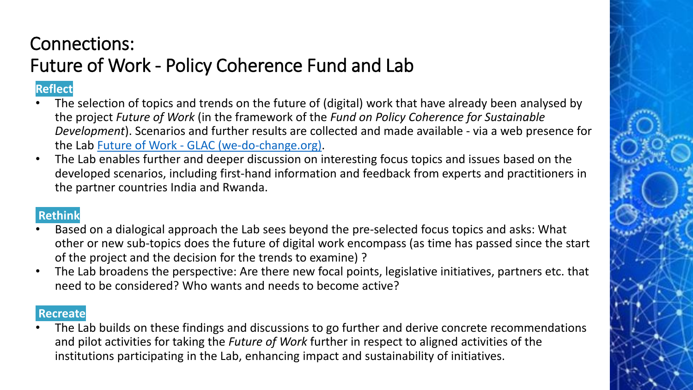## Connections: Future of Work - Policy Coherence Fund and Lab

## **Reflect**

- The selection of topics and trends on the future of (digital) work that have already been analysed by the project *Future of Work* (in the framework of the *Fund on Policy Coherence for Sustainable Development*). Scenarios and further results are collected and made available - via a web presence for the Lab Future of Work - [GLAC \(we-do-change.org\).](https://www.we-do-change.org/the-action/future-of-work)
- The Lab enables further and deeper discussion on interesting focus topics and issues based on the developed scenarios, including first-hand information and feedback from experts and practitioners in the partner countries India and Rwanda.

## **Rethink**

- Based on a dialogical approach the Lab sees beyond the pre-selected focus topics and asks: What other or new sub-topics does the future of digital work encompass (as time has passed since the start of the project and the decision for the trends to examine) ?
- The Lab broadens the perspective: Are there new focal points, legislative initiatives, partners etc. that need to be considered? Who wants and needs to become active?

### **Recreate**

• The Lab builds on these findings and discussions to go further and derive concrete recommendations and pilot activities for taking the *Future of Work* further in respect to aligned activities of the institutions participating in the Lab, enhancing impact and sustainability of initiatives.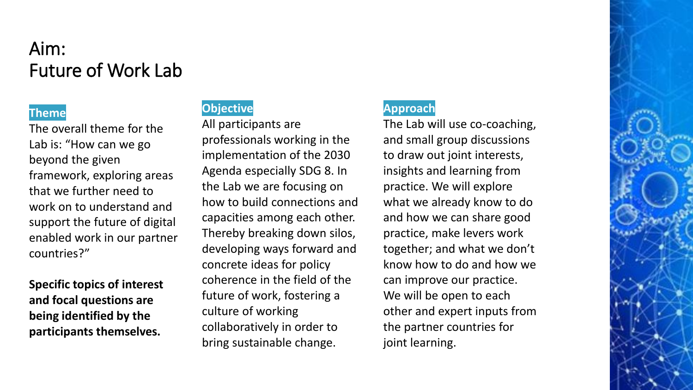## Aim: Future of Work Lab

#### **Theme**

The overall theme for the Lab is: "How can we go beyond the given framework, exploring areas that we further need to work on to understand and support the future of digital enabled work in our partner countries?"

**Specific topics of interest and focal questions are being identified by the participants themselves.**

### **Objective**

All participants are professionals working in the implementation of the 2030 Agenda especially SDG 8. In the Lab we are focusing on how to build connections and capacities among each other. Thereby breaking down silos, developing ways forward and concrete ideas for policy coherence in the field of the future of work, fostering a culture of working collaboratively in order to bring sustainable change.

### **Approach**

The Lab will use co-coaching, and small group discussions to draw out joint interests, insights and learning from practice. We will explore what we already know to do and how we can share good practice, make levers work together; and what we don't know how to do and how we can improve our practice. We will be open to each other and expert inputs from the partner countries for joint learning.

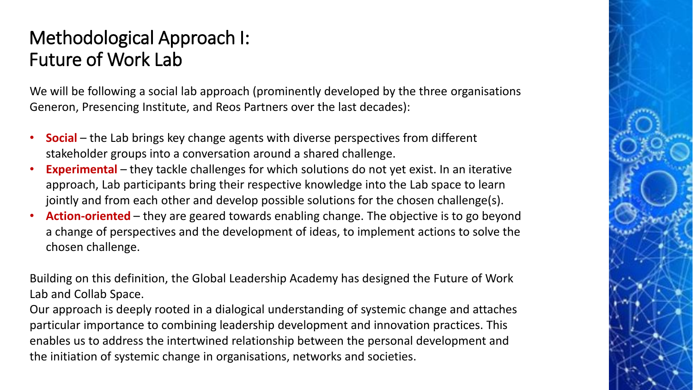## Methodological Approach I: Future of Work Lab

We will be following a social lab approach (prominently developed by the three organisations Generon, Presencing Institute, and Reos Partners over the last decades):

- **Social** the Lab brings key change agents with diverse perspectives from different stakeholder groups into a conversation around a shared challenge.
- **Experimental** they tackle challenges for which solutions do not yet exist. In an iterative approach, Lab participants bring their respective knowledge into the Lab space to learn jointly and from each other and develop possible solutions for the chosen challenge(s).
- **Action-oriented**  they are geared towards enabling change. The objective is to go beyond a change of perspectives and the development of ideas, to implement actions to solve the chosen challenge.

Building on this definition, the Global Leadership Academy has designed the Future of Work Lab and Collab Space.

Our approach is deeply rooted in a dialogical understanding of systemic change and attaches particular importance to combining leadership development and innovation practices. This enables us to address the intertwined relationship between the personal development and the initiation of systemic change in organisations, networks and societies.

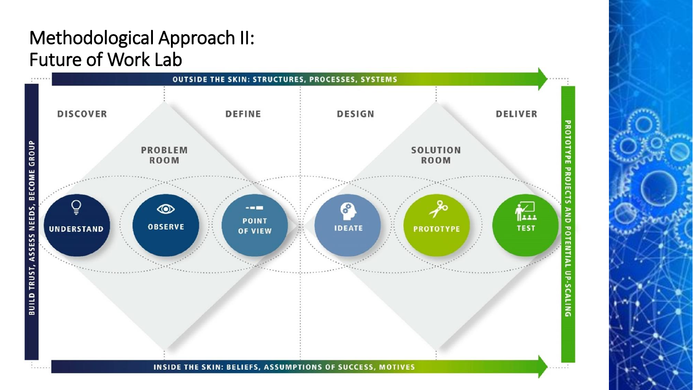## Methodological Approach II: Future of Work Lab